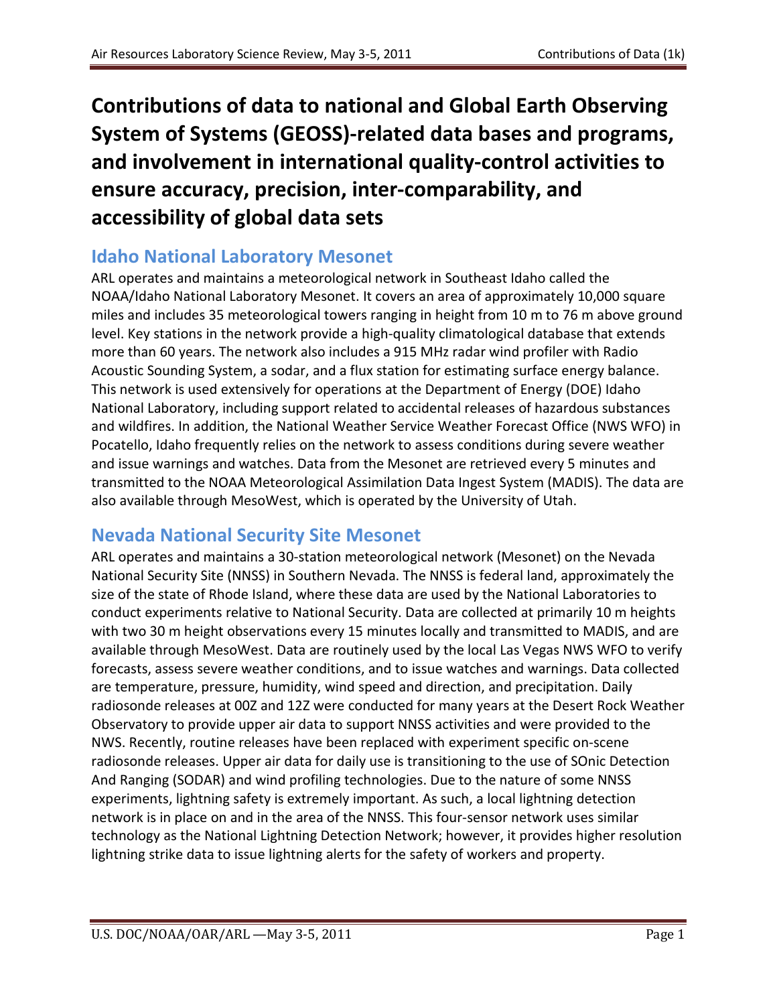**Contributions of data to national and Global Earth Observing System of Systems (GEOSS)-related data bases and programs, and involvement in international quality-control activities to ensure accuracy, precision, inter-comparability, and accessibility of global data sets**

## **Idaho National Laboratory Mesonet**

ARL operates and maintains a meteorological network in Southeast Idaho called the NOAA/Idaho National Laboratory Mesonet. It covers an area of approximately 10,000 square miles and includes 35 meteorological towers ranging in height from 10 m to 76 m above ground level. Key stations in the network provide a high-quality climatological database that extends more than 60 years. The network also includes a 915 MHz radar wind profiler with Radio Acoustic Sounding System, a sodar, and a flux station for estimating surface energy balance. This network is used extensively for operations at the Department of Energy (DOE) Idaho National Laboratory, including support related to accidental releases of hazardous substances and wildfires. In addition, the National Weather Service Weather Forecast Office (NWS WFO) in Pocatello, Idaho frequently relies on the network to assess conditions during severe weather and issue warnings and watches. Data from the Mesonet are retrieved every 5 minutes and transmitted to the NOAA Meteorological Assimilation Data Ingest System (MADIS). The data are also available through MesoWest, which is operated by the University of Utah.

## **Nevada National Security Site Mesonet**

ARL operates and maintains a 30-station meteorological network (Mesonet) on the Nevada National Security Site (NNSS) in Southern Nevada. The NNSS is federal land, approximately the size of the state of Rhode Island, where these data are used by the National Laboratories to conduct experiments relative to National Security. Data are collected at primarily 10 m heights with two 30 m height observations every 15 minutes locally and transmitted to MADIS, and are available through MesoWest. Data are routinely used by the local Las Vegas NWS WFO to verify forecasts, assess severe weather conditions, and to issue watches and warnings. Data collected are temperature, pressure, humidity, wind speed and direction, and precipitation. Daily radiosonde releases at 00Z and 12Z were conducted for many years at the Desert Rock Weather Observatory to provide upper air data to support NNSS activities and were provided to the NWS. Recently, routine releases have been replaced with experiment specific on-scene radiosonde releases. Upper air data for daily use is transitioning to the use of SOnic Detection And Ranging (SODAR) and wind profiling technologies. Due to the nature of some NNSS experiments, lightning safety is extremely important. As such, a local lightning detection network is in place on and in the area of the NNSS. This four-sensor network uses similar technology as the National Lightning Detection Network; however, it provides higher resolution lightning strike data to issue lightning alerts for the safety of workers and property.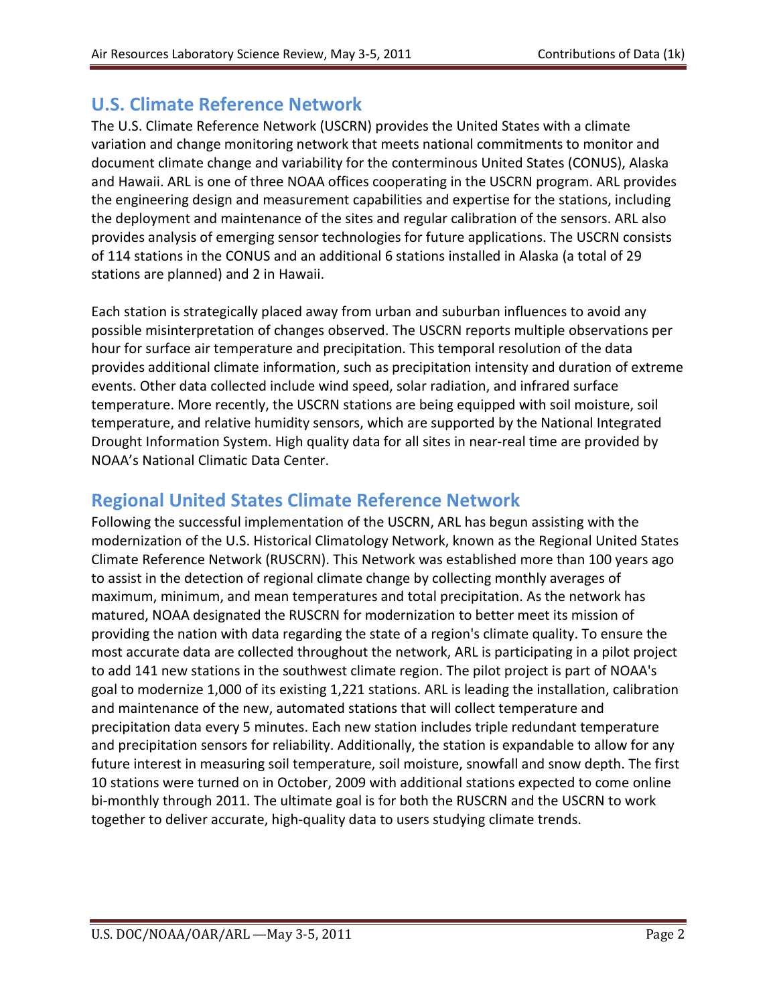#### **U.S. Climate Reference Network**

The U.S. Climate Reference Network (USCRN) provides the United States with a climate variation and change monitoring network that meets national commitments to monitor and document climate change and variability for the conterminous United States (CONUS), Alaska and Hawaii. ARL is one of three NOAA offices cooperating in the USCRN program. ARL provides the engineering design and measurement capabilities and expertise for the stations, including the deployment and maintenance of the sites and regular calibration of the sensors. ARL also provides analysis of emerging sensor technologies for future applications. The USCRN consists of 114 stations in the CONUS and an additional 6 stations installed in Alaska (a total of 29 stations are planned) and 2 in Hawaii.

Each station is strategically placed away from urban and suburban influences to avoid any possible misinterpretation of changes observed. The USCRN reports multiple observations per hour for surface air temperature and precipitation. This temporal resolution of the data provides additional climate information, such as precipitation intensity and duration of extreme events. Other data collected include wind speed, solar radiation, and infrared surface temperature. More recently, the USCRN stations are being equipped with soil moisture, soil temperature, and relative humidity sensors, which are supported by the National Integrated Drought Information System. High quality data for all sites in near-real time are provided by NOAA's National Climatic Data Center.

#### **Regional United States Climate Reference Network**

Following the successful implementation of the USCRN, ARL has begun assisting with the modernization of the U.S. Historical Climatology Network, known as the Regional United States Climate Reference Network (RUSCRN). This Network was established more than 100 years ago to assist in the detection of regional climate change by collecting monthly averages of maximum, minimum, and mean temperatures and total precipitation. As the network has matured, NOAA designated the RUSCRN for modernization to better meet its mission of providing the nation with data regarding the state of a region's climate quality. To ensure the most accurate data are collected throughout the network, ARL is participating in a pilot project to add 141 new stations in the southwest climate region. The pilot project is part of NOAA's goal to modernize 1,000 of its existing 1,221 stations. ARL is leading the installation, calibration and maintenance of the new, automated stations that will collect temperature and precipitation data every 5 minutes. Each new station includes triple redundant temperature and precipitation sensors for reliability. Additionally, the station is expandable to allow for any future interest in measuring soil temperature, soil moisture, snowfall and snow depth. The first 10 stations were turned on in October, 2009 with additional stations expected to come online bi-monthly through 2011. The ultimate goal is for both the RUSCRN and the USCRN to work together to deliver accurate, high-quality data to users studying climate trends.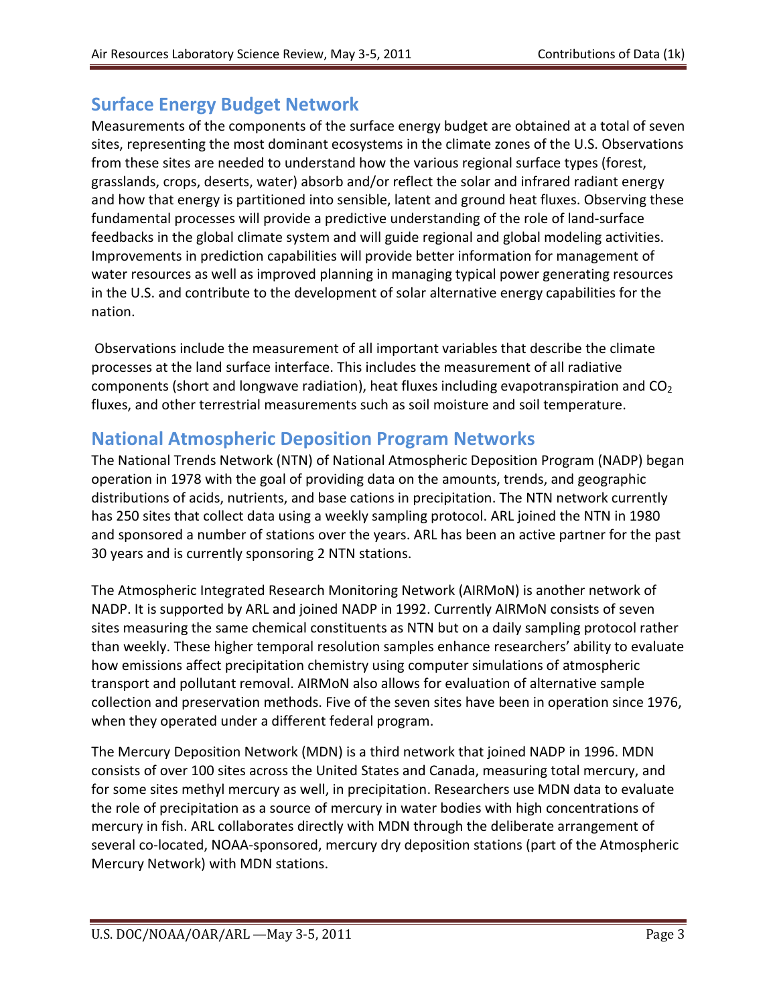## **Surface Energy Budget Network**

Measurements of the components of the surface energy budget are obtained at a total of seven sites, representing the most dominant ecosystems in the climate zones of the U.S. Observations from these sites are needed to understand how the various regional surface types (forest, grasslands, crops, deserts, water) absorb and/or reflect the solar and infrared radiant energy and how that energy is partitioned into sensible, latent and ground heat fluxes. Observing these fundamental processes will provide a predictive understanding of the role of land-surface feedbacks in the global climate system and will guide regional and global modeling activities. Improvements in prediction capabilities will provide better information for management of water resources as well as improved planning in managing typical power generating resources in the U.S. and contribute to the development of solar alternative energy capabilities for the nation.

Observations include the measurement of all important variables that describe the climate processes at the land surface interface. This includes the measurement of all radiative components (short and longwave radiation), heat fluxes including evapotranspiration and  $CO<sub>2</sub>$ fluxes, and other terrestrial measurements such as soil moisture and soil temperature.

#### **National Atmospheric Deposition Program Networks**

The National Trends Network (NTN) of National Atmospheric Deposition Program (NADP) began operation in 1978 with the goal of providing data on the amounts, trends, and geographic distributions of acids, nutrients, and base cations in precipitation. The NTN network currently has 250 sites that collect data using a weekly sampling protocol. ARL joined the NTN in 1980 and sponsored a number of stations over the years. ARL has been an active partner for the past 30 years and is currently sponsoring 2 NTN stations.

The Atmospheric Integrated Research Monitoring Network (AIRMoN) is another network of NADP. It is supported by ARL and joined NADP in 1992. Currently AIRMoN consists of seven sites measuring the same chemical constituents as NTN but on a daily sampling protocol rather than weekly. These higher temporal resolution samples enhance researchers' ability to evaluate how emissions affect precipitation chemistry using computer simulations of atmospheric transport and pollutant removal. AIRMoN also allows for evaluation of alternative sample collection and preservation methods. Five of the seven sites have been in operation since 1976, when they operated under a different federal program.

The Mercury Deposition Network (MDN) is a third network that joined NADP in 1996. MDN consists of over 100 sites across the United States and Canada, measuring total mercury, and for some sites methyl mercury as well, in precipitation. Researchers use MDN data to evaluate the role of precipitation as a source of mercury in water bodies with high concentrations of mercury in fish. ARL collaborates directly with MDN through the deliberate arrangement of several co-located, NOAA-sponsored, mercury dry deposition stations (part of the Atmospheric Mercury Network) with MDN stations.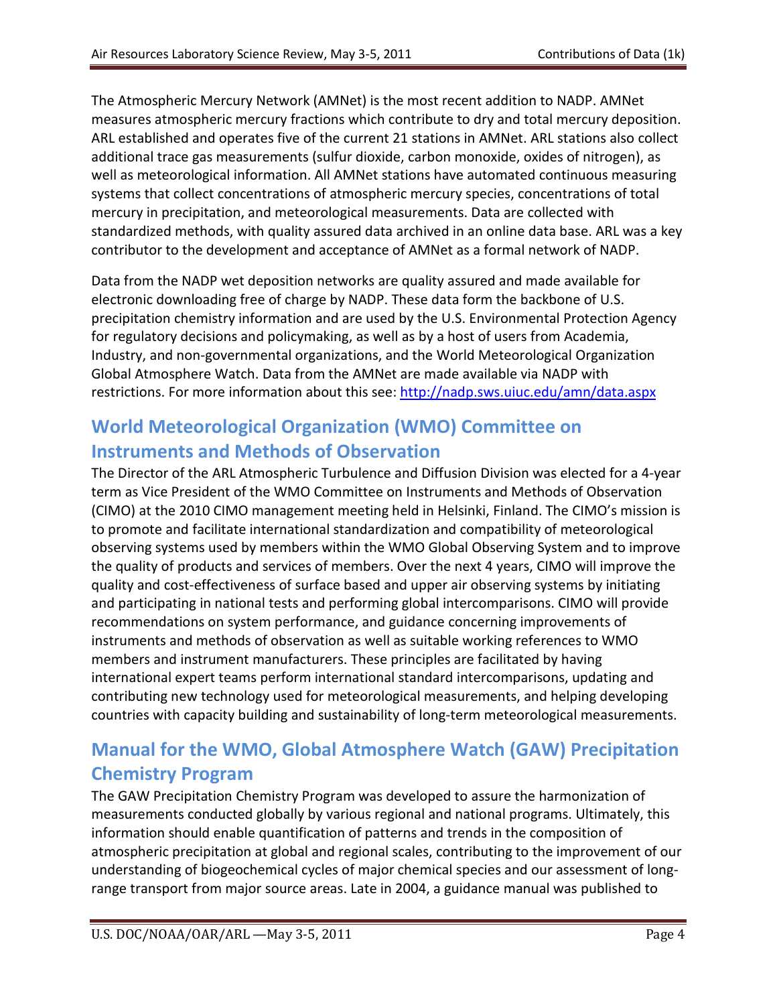The Atmospheric Mercury Network (AMNet) is the most recent addition to NADP. AMNet measures atmospheric mercury fractions which contribute to dry and total mercury deposition. ARL established and operates five of the current 21 stations in AMNet. ARL stations also collect additional trace gas measurements (sulfur dioxide, carbon monoxide, oxides of nitrogen), as well as meteorological information. All AMNet stations have automated continuous measuring systems that collect concentrations of atmospheric mercury species, concentrations of total mercury in precipitation, and meteorological measurements. Data are collected with standardized methods, with quality assured data archived in an online data base. ARL was a key contributor to the development and acceptance of AMNet as a formal network of NADP.

Data from the NADP wet deposition networks are quality assured and made available for electronic downloading free of charge by NADP. These data form the backbone of U.S. precipitation chemistry information and are used by the U.S. Environmental Protection Agency for regulatory decisions and policymaking, as well as by a host of users from Academia, Industry, and non-governmental organizations, and the World Meteorological Organization Global Atmosphere Watch. Data from the AMNet are made available via NADP with restrictions. For more information about this see:<http://nadp.sws.uiuc.edu/amn/data.aspx>

# **World Meteorological Organization (WMO) Committee on Instruments and Methods of Observation**

The Director of the ARL Atmospheric Turbulence and Diffusion Division was elected for a 4-year term as Vice President of the WMO Committee on Instruments and Methods of Observation (CIMO) at the 2010 CIMO management meeting held in Helsinki, Finland. The CIMO's mission is to promote and facilitate international standardization and compatibility of meteorological observing systems used by members within the WMO Global Observing System and to improve the quality of products and services of members. Over the next 4 years, CIMO will improve the quality and cost-effectiveness of surface based and upper air observing systems by initiating and participating in national tests and performing global intercomparisons. CIMO will provide recommendations on system performance, and guidance concerning improvements of instruments and methods of observation as well as suitable working references to WMO members and instrument manufacturers. These principles are facilitated by having international expert teams perform international standard intercomparisons, updating and contributing new technology used for meteorological measurements, and helping developing countries with capacity building and sustainability of long-term meteorological measurements.

# **Manual for the WMO, Global Atmosphere Watch (GAW) Precipitation Chemistry Program**

The GAW Precipitation Chemistry Program was developed to assure the harmonization of measurements conducted globally by various regional and national programs. Ultimately, this information should enable quantification of patterns and trends in the composition of atmospheric precipitation at global and regional scales, contributing to the improvement of our understanding of biogeochemical cycles of major chemical species and our assessment of longrange transport from major source areas. Late in 2004, a guidance manual was published to